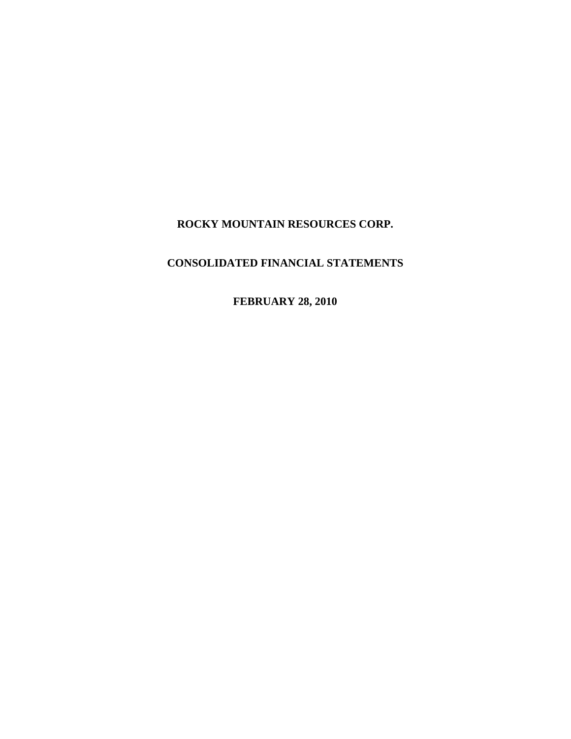**ROCKY MOUNTAIN RESOURCES CORP.**

# **CONSOLIDATED FINANCIAL STATEMENTS**

**FEBRUARY 28, 2010**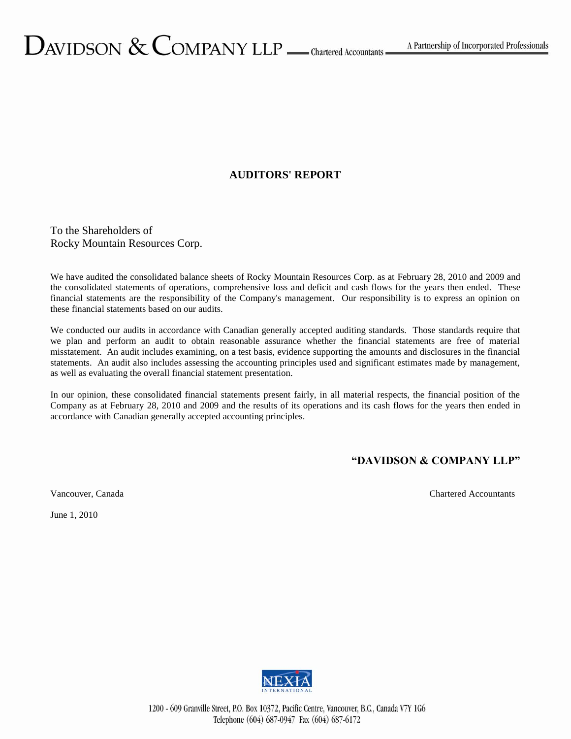# **AUDITORS' REPORT**

To the Shareholders of Rocky Mountain Resources Corp.

We have audited the consolidated balance sheets of Rocky Mountain Resources Corp. as at February 28, 2010 and 2009 and the consolidated statements of operations, comprehensive loss and deficit and cash flows for the years then ended. These financial statements are the responsibility of the Company's management. Our responsibility is to express an opinion on these financial statements based on our audits.

We conducted our audits in accordance with Canadian generally accepted auditing standards. Those standards require that we plan and perform an audit to obtain reasonable assurance whether the financial statements are free of material misstatement. An audit includes examining, on a test basis, evidence supporting the amounts and disclosures in the financial statements. An audit also includes assessing the accounting principles used and significant estimates made by management, as well as evaluating the overall financial statement presentation.

In our opinion, these consolidated financial statements present fairly, in all material respects, the financial position of the Company as at February 28, 2010 and 2009 and the results of its operations and its cash flows for the years then ended in accordance with Canadian generally accepted accounting principles.

# **"DAVIDSON & COMPANY LLP"**

Vancouver, Canada Chartered Accountants

June 1, 2010

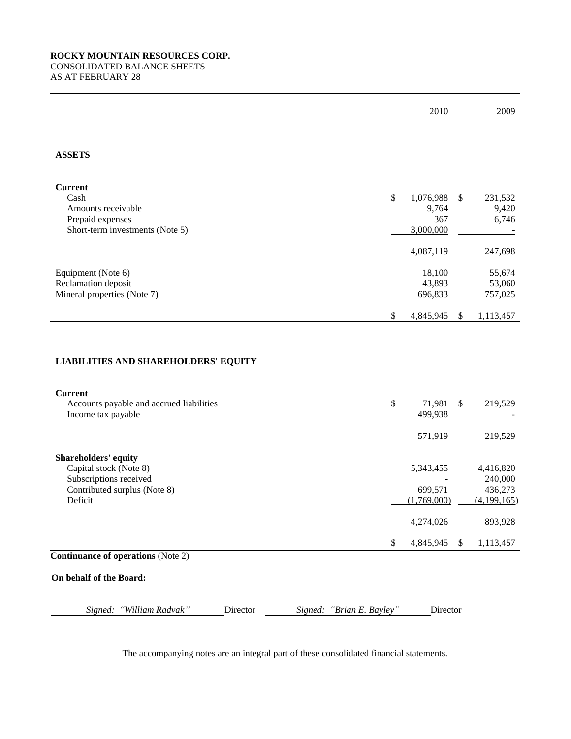|                                                                                                                                 |                           | 2010                                         | 2009                                           |
|---------------------------------------------------------------------------------------------------------------------------------|---------------------------|----------------------------------------------|------------------------------------------------|
|                                                                                                                                 |                           |                                              |                                                |
| <b>ASSETS</b>                                                                                                                   |                           |                                              |                                                |
| <b>Current</b><br>Cash<br>Amounts receivable<br>Prepaid expenses<br>Short-term investments (Note 5)                             | $\$$                      | 1,076,988<br>\$<br>9,764<br>367<br>3,000,000 | 231,532<br>9,420<br>6,746                      |
|                                                                                                                                 |                           | 4,087,119                                    | 247,698                                        |
| Equipment (Note 6)<br>Reclamation deposit<br>Mineral properties (Note 7)                                                        |                           | 18,100<br>43,893<br>696,833                  | 55,674<br>53,060<br>757,025                    |
|                                                                                                                                 | $\$$                      | 4,845,945<br>\$                              | 1,113,457                                      |
| <b>LIABILITIES AND SHAREHOLDERS' EQUITY</b><br><b>Current</b><br>Accounts payable and accrued liabilities<br>Income tax payable | \$                        | 71,981<br>$\mathsf{\$}$<br>499,938           | 219,529                                        |
|                                                                                                                                 |                           | 571,919                                      | 219,529                                        |
| <b>Shareholders' equity</b><br>Capital stock (Note 8)<br>Subscriptions received<br>Contributed surplus (Note 8)<br>Deficit      |                           | 5,343,455<br>699,571<br>(1,769,000)          | 4,416,820<br>240,000<br>436,273<br>(4,199,165) |
|                                                                                                                                 |                           | 4,274,026                                    | 893,928                                        |
|                                                                                                                                 | \$                        | 4,845,945<br>\$                              | 1,113,457                                      |
| <b>Continuance of operations (Note 2)</b>                                                                                       |                           |                                              |                                                |
| On behalf of the Board:                                                                                                         |                           |                                              |                                                |
| "William Radvak"<br>Director<br>Signed:                                                                                         | Signed: "Brian E. Bayley" | Director                                     |                                                |

The accompanying notes are an integral part of these consolidated financial statements.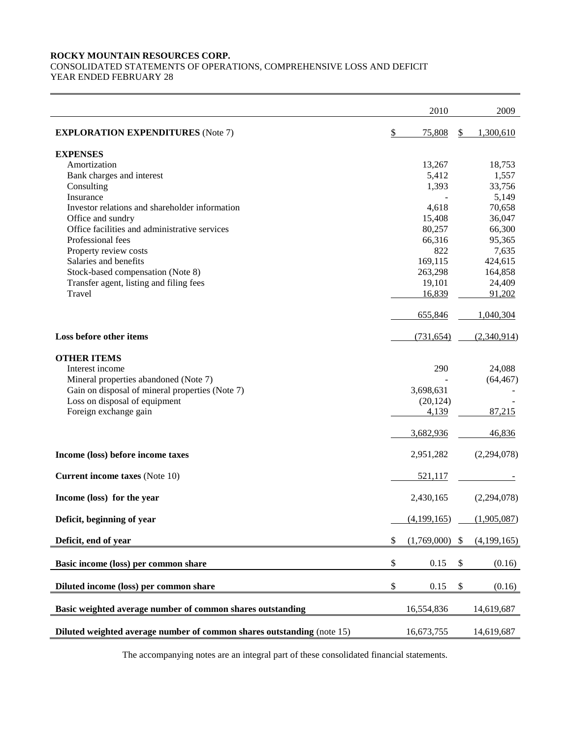# **ROCKY MOUNTAIN RESOURCES CORP.**

CONSOLIDATED STATEMENTS OF OPERATIONS, COMPREHENSIVE LOSS AND DEFICIT YEAR ENDED FEBRUARY 28

|                                                                        | 2010              | 2009              |
|------------------------------------------------------------------------|-------------------|-------------------|
| <b>EXPLORATION EXPENDITURES</b> (Note 7)                               | \$<br>75,808      | \$<br>1,300,610   |
| <b>EXPENSES</b>                                                        |                   |                   |
| Amortization                                                           | 13,267            | 18,753            |
| Bank charges and interest                                              | 5,412             | 1,557             |
| Consulting                                                             | 1,393             | 33,756            |
| Insurance                                                              |                   | 5,149             |
| Investor relations and shareholder information                         | 4,618             | 70,658            |
| Office and sundry                                                      | 15,408            | 36,047            |
| Office facilities and administrative services                          | 80,257            | 66,300            |
| Professional fees                                                      | 66,316            | 95,365            |
| Property review costs                                                  | 822               | 7,635             |
| Salaries and benefits                                                  | 169,115           | 424,615           |
| Stock-based compensation (Note 8)                                      | 263,298           | 164,858           |
| Transfer agent, listing and filing fees                                | 19,101            | 24,409            |
| Travel                                                                 | 16,839            | 91,202            |
|                                                                        | 655,846           | 1,040,304         |
| Loss before other items                                                | (731, 654)        | (2,340,914)       |
| <b>OTHER ITEMS</b>                                                     |                   |                   |
| Interest income                                                        | 290               | 24,088            |
| Mineral properties abandoned (Note 7)                                  |                   | (64, 467)         |
| Gain on disposal of mineral properties (Note 7)                        | 3,698,631         |                   |
| Loss on disposal of equipment                                          | (20, 124)         |                   |
| Foreign exchange gain                                                  | 4,139             | 87,215            |
|                                                                        | 3,682,936         | 46,836            |
| Income (loss) before income taxes                                      | 2,951,282         | (2,294,078)       |
| <b>Current income taxes</b> (Note 10)                                  | 521,117           |                   |
| Income (loss) for the year                                             | 2,430,165         | (2,294,078)       |
| Deficit, beginning of year                                             | (4,199,165)       | (1,905,087)       |
| Deficit, end of year                                                   | \$<br>(1,769,000) | \$<br>(4,199,165) |
| Basic income (loss) per common share                                   | \$<br>0.15        | \$<br>(0.16)      |
| Diluted income (loss) per common share                                 | \$<br>0.15        | \$<br>(0.16)      |
| Basic weighted average number of common shares outstanding             | 16,554,836        | 14,619,687        |
| Diluted weighted average number of common shares outstanding (note 15) | 16,673,755        | 14,619,687        |

The accompanying notes are an integral part of these consolidated financial statements.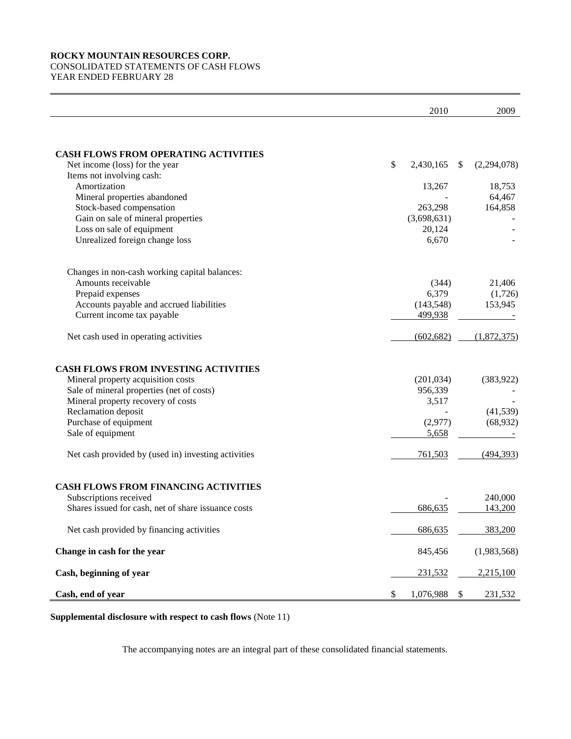# **ROCKY MOUNTAIN RESOURCES CORP.** CONSOLIDATED STATEMENTS OF CASH FLOWS YEAR ENDED FEBRUARY 28

|                                                     | 2010            | 2009                |
|-----------------------------------------------------|-----------------|---------------------|
|                                                     |                 |                     |
| <b>CASH FLOWS FROM OPERATING ACTIVITIES</b>         |                 |                     |
| Net income (loss) for the year                      | \$<br>2,430,165 | \$<br>(2, 294, 078) |
| Items not involving cash:                           |                 |                     |
| Amortization                                        | 13,267          | 18,753              |
| Mineral properties abandoned                        |                 | 64,467              |
| Stock-based compensation                            | 263,298         | 164,858             |
| Gain on sale of mineral properties                  | (3,698,631)     |                     |
| Loss on sale of equipment                           | 20,124          |                     |
| Unrealized foreign change loss                      | 6,670           |                     |
| Changes in non-cash working capital balances:       |                 |                     |
| Amounts receivable                                  | (344)           | 21,406              |
| Prepaid expenses                                    | 6,379           | (1,726)             |
| Accounts payable and accrued liabilities            | (143, 548)      | 153,945             |
| Current income tax payable                          | 499,938         |                     |
| Net cash used in operating activities               | (602, 682)      | (1,872,375)         |
| <b>CASH FLOWS FROM INVESTING ACTIVITIES</b>         |                 |                     |
| Mineral property acquisition costs                  | (201, 034)      | (383, 922)          |
| Sale of mineral properties (net of costs)           | 956,339         |                     |
| Mineral property recovery of costs                  | 3,517           |                     |
| Reclamation deposit                                 |                 | (41, 539)           |
| Purchase of equipment                               | (2,977)         | (68, 932)           |
| Sale of equipment                                   | 5,658           |                     |
| Net cash provided by (used in) investing activities | 761,503         | (494, 393)          |
| <b>CASH FLOWS FROM FINANCING ACTIVITIES</b>         |                 |                     |
| Subscriptions received                              |                 | 240,000             |
| Shares issued for cash, net of share issuance costs | 686,635         | 143,200             |
| Net cash provided by financing activities           | 686,635         | 383,200             |
| Change in cash for the year                         | 845,456         | (1,983,568)         |
| Cash, beginning of year                             | 231,532         | 2,215,100           |
| Cash, end of year                                   | \$<br>1,076,988 | \$<br>231,532       |

**Supplemental disclosure with respect to cash flows** (Note 11)

The accompanying notes are an integral part of these consolidated financial statements.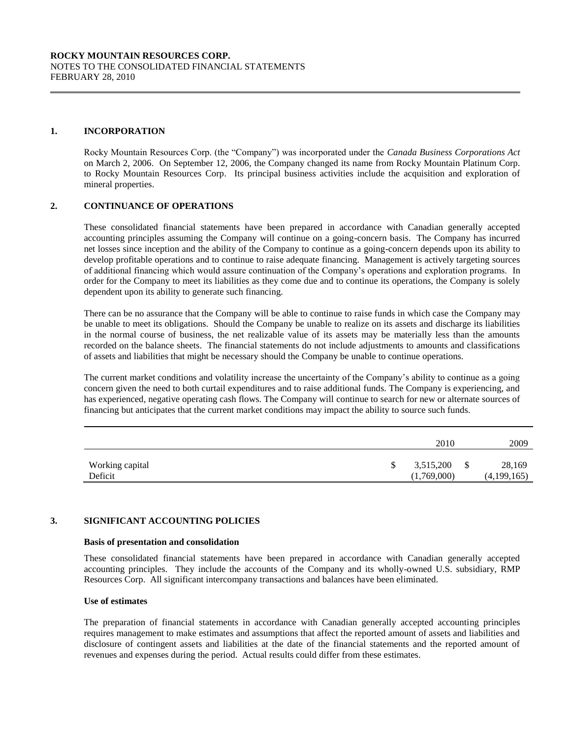#### **1. INCORPORATION**

Rocky Mountain Resources Corp. (the "Company") was incorporated under the *Canada Business Corporations Act* on March 2, 2006. On September 12, 2006, the Company changed its name from Rocky Mountain Platinum Corp. to Rocky Mountain Resources Corp. Its principal business activities include the acquisition and exploration of mineral properties.

## **2. CONTINUANCE OF OPERATIONS**

These consolidated financial statements have been prepared in accordance with Canadian generally accepted accounting principles assuming the Company will continue on a going-concern basis. The Company has incurred net losses since inception and the ability of the Company to continue as a going-concern depends upon its ability to develop profitable operations and to continue to raise adequate financing. Management is actively targeting sources of additional financing which would assure continuation of the Company's operations and exploration programs. In order for the Company to meet its liabilities as they come due and to continue its operations, the Company is solely dependent upon its ability to generate such financing.

There can be no assurance that the Company will be able to continue to raise funds in which case the Company may be unable to meet its obligations. Should the Company be unable to realize on its assets and discharge its liabilities in the normal course of business, the net realizable value of its assets may be materially less than the amounts recorded on the balance sheets. The financial statements do not include adjustments to amounts and classifications of assets and liabilities that might be necessary should the Company be unable to continue operations.

The current market conditions and volatility increase the uncertainty of the Company's ability to continue as a going concern given the need to both curtail expenditures and to raise additional funds. The Company is experiencing, and has experienced, negative operating cash flows. The Company will continue to search for new or alternate sources of financing but anticipates that the current market conditions may impact the ability to source such funds.

|                            |   | 2010                     |   | 2009                  |
|----------------------------|---|--------------------------|---|-----------------------|
| Working capital<br>Deficit | S | 3,515,200<br>(1,769,000) | S | 28,169<br>(4,199,165) |

# **3. SIGNIFICANT ACCOUNTING POLICIES**

#### **Basis of presentation and consolidation**

These consolidated financial statements have been prepared in accordance with Canadian generally accepted accounting principles. They include the accounts of the Company and its wholly-owned U.S. subsidiary, RMP Resources Corp. All significant intercompany transactions and balances have been eliminated.

#### **Use of estimates**

The preparation of financial statements in accordance with Canadian generally accepted accounting principles requires management to make estimates and assumptions that affect the reported amount of assets and liabilities and disclosure of contingent assets and liabilities at the date of the financial statements and the reported amount of revenues and expenses during the period. Actual results could differ from these estimates.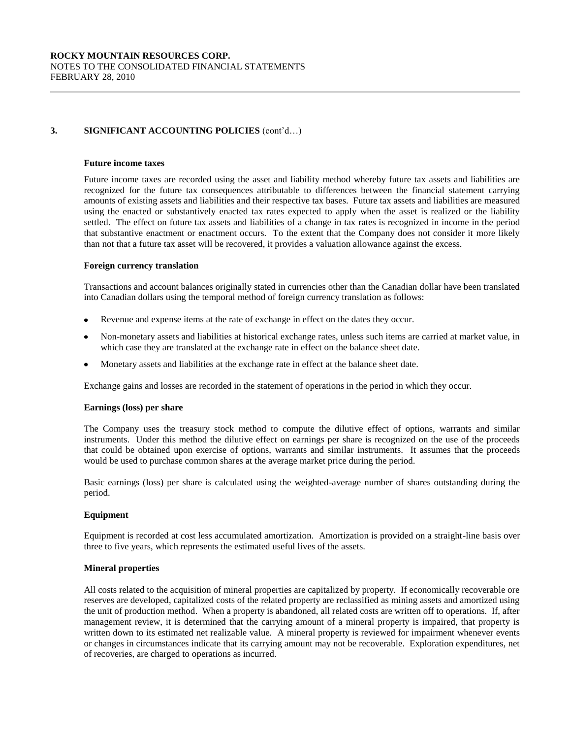# **3. SIGNIFICANT ACCOUNTING POLICIES** (cont'd…)

#### **Future income taxes**

Future income taxes are recorded using the asset and liability method whereby future tax assets and liabilities are recognized for the future tax consequences attributable to differences between the financial statement carrying amounts of existing assets and liabilities and their respective tax bases. Future tax assets and liabilities are measured using the enacted or substantively enacted tax rates expected to apply when the asset is realized or the liability settled. The effect on future tax assets and liabilities of a change in tax rates is recognized in income in the period that substantive enactment or enactment occurs. To the extent that the Company does not consider it more likely than not that a future tax asset will be recovered, it provides a valuation allowance against the excess.

#### **Foreign currency translation**

Transactions and account balances originally stated in currencies other than the Canadian dollar have been translated into Canadian dollars using the temporal method of foreign currency translation as follows:

- Revenue and expense items at the rate of exchange in effect on the dates they occur.
- Non-monetary assets and liabilities at historical exchange rates, unless such items are carried at market value, in which case they are translated at the exchange rate in effect on the balance sheet date.
- Monetary assets and liabilities at the exchange rate in effect at the balance sheet date.  $\bullet$

Exchange gains and losses are recorded in the statement of operations in the period in which they occur.

#### **Earnings (loss) per share**

The Company uses the treasury stock method to compute the dilutive effect of options, warrants and similar instruments. Under this method the dilutive effect on earnings per share is recognized on the use of the proceeds that could be obtained upon exercise of options, warrants and similar instruments. It assumes that the proceeds would be used to purchase common shares at the average market price during the period.

Basic earnings (loss) per share is calculated using the weighted-average number of shares outstanding during the period.

#### **Equipment**

Equipment is recorded at cost less accumulated amortization. Amortization is provided on a straight-line basis over three to five years, which represents the estimated useful lives of the assets.

#### **Mineral properties**

All costs related to the acquisition of mineral properties are capitalized by property. If economically recoverable ore reserves are developed, capitalized costs of the related property are reclassified as mining assets and amortized using the unit of production method. When a property is abandoned, all related costs are written off to operations. If, after management review, it is determined that the carrying amount of a mineral property is impaired, that property is written down to its estimated net realizable value. A mineral property is reviewed for impairment whenever events or changes in circumstances indicate that its carrying amount may not be recoverable. Exploration expenditures, net of recoveries, are charged to operations as incurred.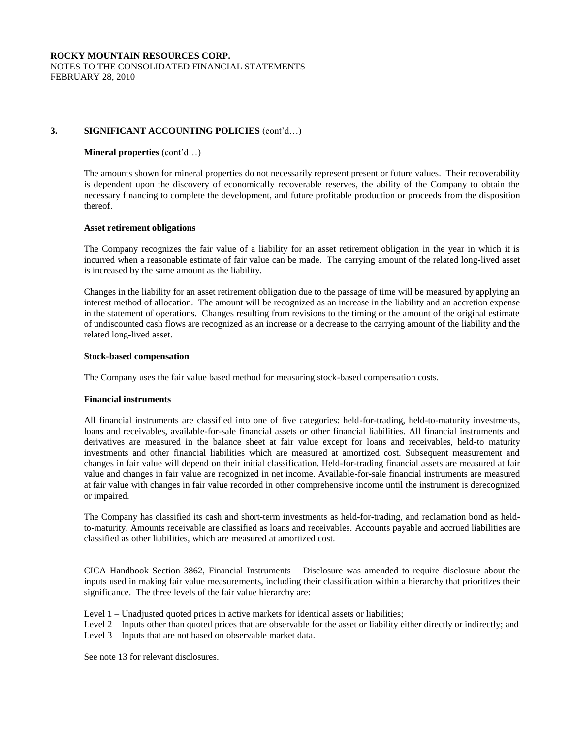# **3. SIGNIFICANT ACCOUNTING POLICIES** (cont'd…)

#### **Mineral properties** (cont'd…)

The amounts shown for mineral properties do not necessarily represent present or future values. Their recoverability is dependent upon the discovery of economically recoverable reserves, the ability of the Company to obtain the necessary financing to complete the development, and future profitable production or proceeds from the disposition thereof.

#### **Asset retirement obligations**

The Company recognizes the fair value of a liability for an asset retirement obligation in the year in which it is incurred when a reasonable estimate of fair value can be made. The carrying amount of the related long-lived asset is increased by the same amount as the liability.

Changes in the liability for an asset retirement obligation due to the passage of time will be measured by applying an interest method of allocation. The amount will be recognized as an increase in the liability and an accretion expense in the statement of operations. Changes resulting from revisions to the timing or the amount of the original estimate of undiscounted cash flows are recognized as an increase or a decrease to the carrying amount of the liability and the related long-lived asset.

#### **Stock-based compensation**

The Company uses the fair value based method for measuring stock-based compensation costs.

#### **Financial instruments**

All financial instruments are classified into one of five categories: held-for-trading, held-to-maturity investments, loans and receivables, available-for-sale financial assets or other financial liabilities. All financial instruments and derivatives are measured in the balance sheet at fair value except for loans and receivables, held-to maturity investments and other financial liabilities which are measured at amortized cost. Subsequent measurement and changes in fair value will depend on their initial classification. Held-for-trading financial assets are measured at fair value and changes in fair value are recognized in net income. Available-for-sale financial instruments are measured at fair value with changes in fair value recorded in other comprehensive income until the instrument is derecognized or impaired.

The Company has classified its cash and short-term investments as held-for-trading, and reclamation bond as heldto-maturity. Amounts receivable are classified as loans and receivables. Accounts payable and accrued liabilities are classified as other liabilities, which are measured at amortized cost.

CICA Handbook Section 3862, Financial Instruments – Disclosure was amended to require disclosure about the inputs used in making fair value measurements, including their classification within a hierarchy that prioritizes their significance. The three levels of the fair value hierarchy are:

Level 1 – Unadjusted quoted prices in active markets for identical assets or liabilities;

Level 2 – Inputs other than quoted prices that are observable for the asset or liability either directly or indirectly; and Level 3 – Inputs that are not based on observable market data.

See note 13 for relevant disclosures.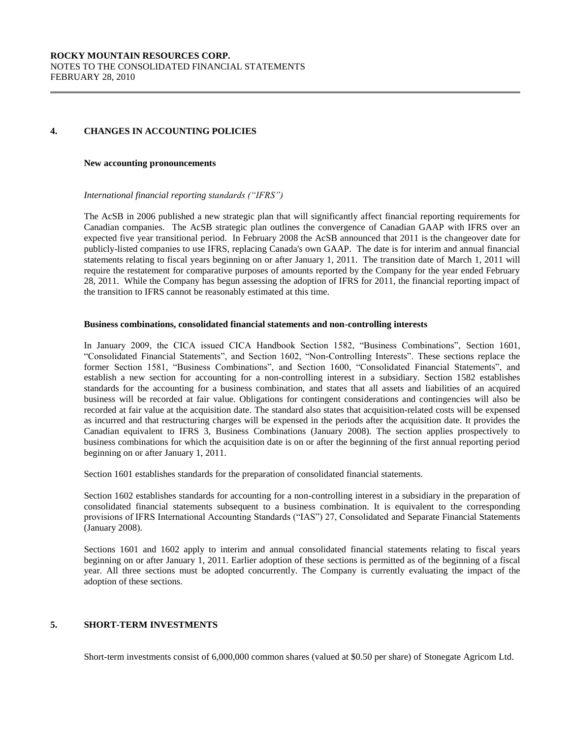# **4. CHANGES IN ACCOUNTING POLICIES**

#### **New accounting pronouncements**

#### *International financial reporting standards ("IFRS")*

The AcSB in 2006 published a new strategic plan that will significantly affect financial reporting requirements for Canadian companies. The AcSB strategic plan outlines the convergence of Canadian GAAP with IFRS over an expected five year transitional period. In February 2008 the AcSB announced that 2011 is the changeover date for publicly-listed companies to use IFRS, replacing Canada's own GAAP. The date is for interim and annual financial statements relating to fiscal years beginning on or after January 1, 2011. The transition date of March 1, 2011 will require the restatement for comparative purposes of amounts reported by the Company for the year ended February 28, 2011. While the Company has begun assessing the adoption of IFRS for 2011, the financial reporting impact of the transition to IFRS cannot be reasonably estimated at this time.

#### **Business combinations, consolidated financial statements and non-controlling interests**

In January 2009, the CICA issued CICA Handbook Section 1582, "Business Combinations", Section 1601, "Consolidated Financial Statements", and Section 1602, "Non-Controlling Interests". These sections replace the former Section 1581, "Business Combinations", and Section 1600, "Consolidated Financial Statements", and establish a new section for accounting for a non-controlling interest in a subsidiary. Section 1582 establishes standards for the accounting for a business combination, and states that all assets and liabilities of an acquired business will be recorded at fair value. Obligations for contingent considerations and contingencies will also be recorded at fair value at the acquisition date. The standard also states that acquisition-related costs will be expensed as incurred and that restructuring charges will be expensed in the periods after the acquisition date. It provides the Canadian equivalent to IFRS 3, Business Combinations (January 2008). The section applies prospectively to business combinations for which the acquisition date is on or after the beginning of the first annual reporting period beginning on or after January 1, 2011.

Section 1601 establishes standards for the preparation of consolidated financial statements.

Section 1602 establishes standards for accounting for a non-controlling interest in a subsidiary in the preparation of consolidated financial statements subsequent to a business combination. It is equivalent to the corresponding provisions of IFRS International Accounting Standards ("IAS") 27, Consolidated and Separate Financial Statements (January 2008).

Sections 1601 and 1602 apply to interim and annual consolidated financial statements relating to fiscal years beginning on or after January 1, 2011. Earlier adoption of these sections is permitted as of the beginning of a fiscal year. All three sections must be adopted concurrently. The Company is currently evaluating the impact of the adoption of these sections.

# **5. SHORT-TERM INVESTMENTS**

Short-term investments consist of 6,000,000 common shares (valued at \$0.50 per share) of Stonegate Agricom Ltd.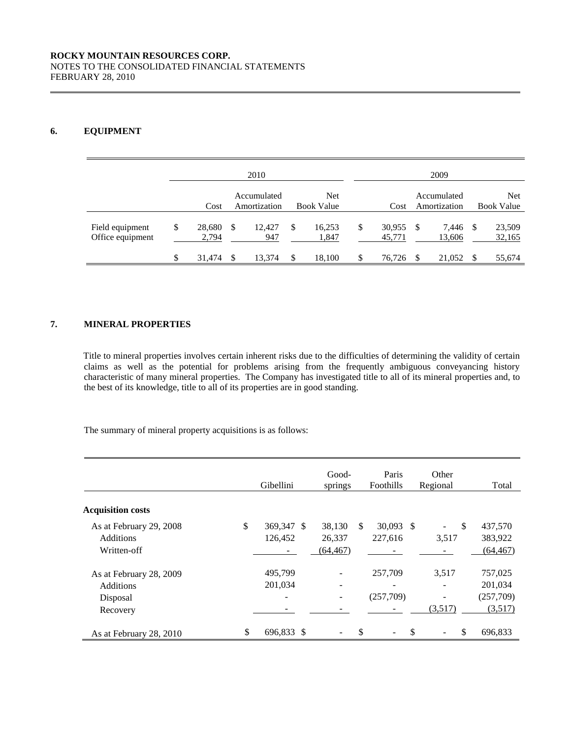# **6. EQUIPMENT**

| 2010                                |    |                 |               |                             |   |                                 | 2009                   |                             |      |                                 |
|-------------------------------------|----|-----------------|---------------|-----------------------------|---|---------------------------------|------------------------|-----------------------------|------|---------------------------------|
|                                     |    | Cost            |               | Accumulated<br>Amortization |   | <b>Net</b><br><b>Book Value</b> | Cost                   | Accumulated<br>Amortization |      | <b>Net</b><br><b>Book Value</b> |
| Field equipment<br>Office equipment | \$ | 28,680<br>2,794 | - \$          | 12.427<br>947               | S | 16,253<br>1,847                 | \$<br>30.955<br>45,771 | \$<br>7.446<br>13,606       | - \$ | 23,509<br>32,165                |
|                                     | \$ | 31,474          | <sup>\$</sup> | 13,374                      |   | 18,100                          | \$<br>76.726           | \$<br>21,052                | S    | 55,674                          |

# **7. MINERAL PROPERTIES**

Title to mineral properties involves certain inherent risks due to the difficulties of determining the validity of certain claims as well as the potential for problems arising from the frequently ambiguous conveyancing history characteristic of many mineral properties. The Company has investigated title to all of its mineral properties and, to the best of its knowledge, title to all of its properties are in good standing.

The summary of mineral property acquisitions is as follows:

|                          | Gibellini        | Good-<br>springs         |               | Paris<br>Foothills       | Other<br>Regional | Total     |
|--------------------------|------------------|--------------------------|---------------|--------------------------|-------------------|-----------|
| <b>Acquisition costs</b> |                  |                          |               |                          |                   |           |
| As at February 29, 2008  | \$<br>369,347 \$ | 38,130                   | <sup>\$</sup> | $30,093$ \$              | <sup>\$</sup>     | 437,570   |
| <b>Additions</b>         | 126,452          | 26,337                   |               | 227,616                  | 3,517             | 383,922   |
| Written-off              |                  | (64, 467)                |               |                          |                   | (64, 467) |
| As at February 28, 2009  | 495,799          | $\overline{\phantom{a}}$ |               | 257,709                  | 3,517             | 757,025   |
| <b>Additions</b>         | 201,034          | $\overline{\phantom{a}}$ |               | $\overline{\phantom{0}}$ |                   | 201,034   |
| Disposal                 |                  | $\overline{\phantom{a}}$ |               | (257,709)                |                   | (257,709) |
| Recovery                 |                  |                          |               |                          | (3,517)           | (3,517)   |
| As at February 28, 2010  | \$<br>696,833 \$ |                          | \$            |                          | \$<br>\$          | 696,833   |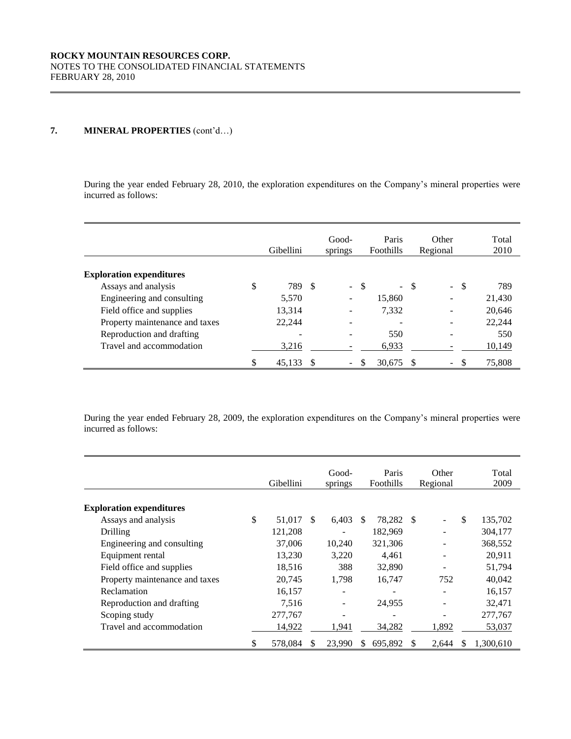During the year ended February 28, 2010, the exploration expenditures on the Company's mineral properties were incurred as follows:

|                                 | Good-<br>Gibellini<br>springs |     | Paris<br>Foothills |    | Other<br>Regional        | Total<br>2010 |                                 |               |
|---------------------------------|-------------------------------|-----|--------------------|----|--------------------------|---------------|---------------------------------|---------------|
| <b>Exploration expenditures</b> |                               |     |                    |    |                          |               |                                 |               |
| Assays and analysis             | \$<br>789                     | - S | a.                 | -S | $\sim$                   | -S            | $\mathbb{Z}^{\mathbb{Z}}$<br>-S | 789           |
| Engineering and consulting      | 5,570                         |     |                    |    | 15,860                   |               |                                 | 21,430        |
| Field office and supplies       | 13,314                        |     |                    |    | 7,332                    |               |                                 | 20,646        |
| Property maintenance and taxes  | 22,244                        |     |                    |    | $\overline{\phantom{a}}$ |               |                                 | 22,244        |
| Reproduction and drafting       |                               |     |                    |    | 550                      |               |                                 | 550           |
| Travel and accommodation        | 3,216                         |     |                    |    | 6,933                    |               |                                 | <u>10,149</u> |
|                                 | \$<br>45.133                  |     |                    |    | 30.675                   |               | \$.<br>$\overline{\phantom{a}}$ | 75,808        |

During the year ended February 28, 2009, the exploration expenditures on the Company's mineral properties were incurred as follows:

|                                 |    | Gibellini |     | Good-<br>springs |               | Paris<br>Foothills |      | Other<br>Regional |    | Total<br>2009 |
|---------------------------------|----|-----------|-----|------------------|---------------|--------------------|------|-------------------|----|---------------|
| <b>Exploration expenditures</b> |    |           |     |                  |               |                    |      |                   |    |               |
| Assays and analysis             | \$ | 51,017    | \$. | 6,403            | <sup>\$</sup> | 78,282             | - \$ |                   | \$ | 135,702       |
| Drilling                        |    | 121,208   |     |                  |               | 182,969            |      |                   |    | 304,177       |
| Engineering and consulting      |    | 37,006    |     | 10,240           |               | 321,306            |      |                   |    | 368,552       |
| Equipment rental                |    | 13,230    |     | 3,220            |               | 4,461              |      |                   |    | 20,911        |
| Field office and supplies       |    | 18.516    |     | 388              |               | 32,890             |      |                   |    | 51,794        |
| Property maintenance and taxes  |    | 20,745    |     | 1,798            |               | 16,747             |      | 752               |    | 40,042        |
| Reclamation                     |    | 16,157    |     |                  |               |                    |      |                   |    | 16,157        |
| Reproduction and drafting       |    | 7.516     |     |                  |               | 24,955             |      |                   |    | 32,471        |
| Scoping study                   |    | 277,767   |     |                  |               |                    |      |                   |    | 277,767       |
| Travel and accommodation        |    | 14,922    |     | 1,941            |               | 34,282             |      | 1,892             |    | 53,037        |
|                                 | S  | 578,084   | S   | 23,990           | S.            | 695,892            |      | 2,644             | S  | 1,300,610     |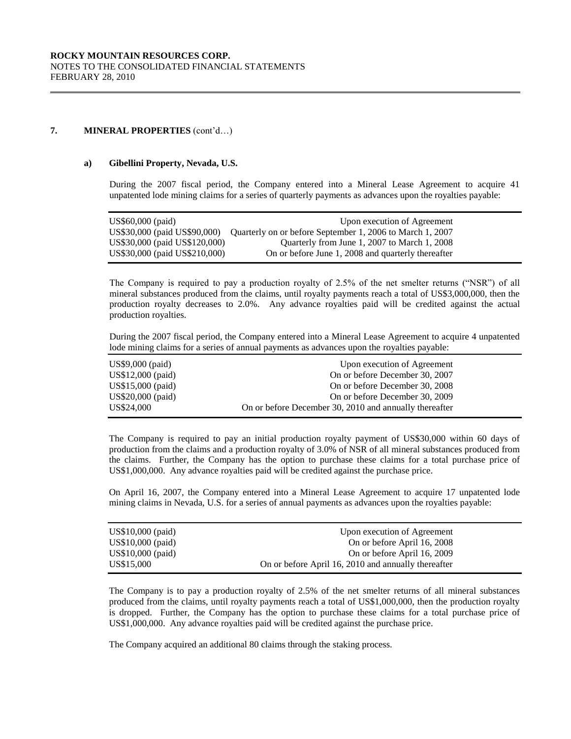#### **a) Gibellini Property, Nevada, U.S.**

During the 2007 fiscal period, the Company entered into a Mineral Lease Agreement to acquire 41 unpatented lode mining claims for a series of quarterly payments as advances upon the royalties payable:

| US\$60,000 (paid)             | Upon execution of Agreement                               |
|-------------------------------|-----------------------------------------------------------|
| US\$30,000 (paid US\$90,000)  | Quarterly on or before September 1, 2006 to March 1, 2007 |
| US\$30,000 (paid US\$120,000) | Ouarterly from June 1, 2007 to March 1, 2008              |
| US\$30,000 (paid US\$210,000) | On or before June 1, 2008 and quarterly thereafter        |

The Company is required to pay a production royalty of 2.5% of the net smelter returns ("NSR") of all mineral substances produced from the claims, until royalty payments reach a total of US\$3,000,000, then the production royalty decreases to 2.0%. Any advance royalties paid will be credited against the actual production royalties.

During the 2007 fiscal period, the Company entered into a Mineral Lease Agreement to acquire 4 unpatented lode mining claims for a series of annual payments as advances upon the royalties payable:

| $US$9,000$ (paid) | Upon execution of Agreement                            |
|-------------------|--------------------------------------------------------|
| US\$12,000 (paid) | On or before December 30, 2007                         |
| US\$15,000 (paid) | On or before December 30, 2008                         |
| US\$20,000 (paid) | On or before December 30, 2009                         |
| US\$24,000        | On or before December 30, 2010 and annually thereafter |

The Company is required to pay an initial production royalty payment of US\$30,000 within 60 days of production from the claims and a production royalty of 3.0% of NSR of all mineral substances produced from the claims. Further, the Company has the option to purchase these claims for a total purchase price of US\$1,000,000. Any advance royalties paid will be credited against the purchase price.

On April 16, 2007, the Company entered into a Mineral Lease Agreement to acquire 17 unpatented lode mining claims in Nevada, U.S. for a series of annual payments as advances upon the royalties payable:

| $US$10,000$ (paid) | Upon execution of Agreement                         |
|--------------------|-----------------------------------------------------|
| US\$10,000 (paid)  | On or before April 16, 2008                         |
| $US$10,000$ (paid) | On or before April 16, 2009                         |
| US\$15,000         | On or before April 16, 2010 and annually thereafter |

The Company is to pay a production royalty of 2.5% of the net smelter returns of all mineral substances produced from the claims, until royalty payments reach a total of US\$1,000,000, then the production royalty is dropped. Further, the Company has the option to purchase these claims for a total purchase price of US\$1,000,000. Any advance royalties paid will be credited against the purchase price.

The Company acquired an additional 80 claims through the staking process.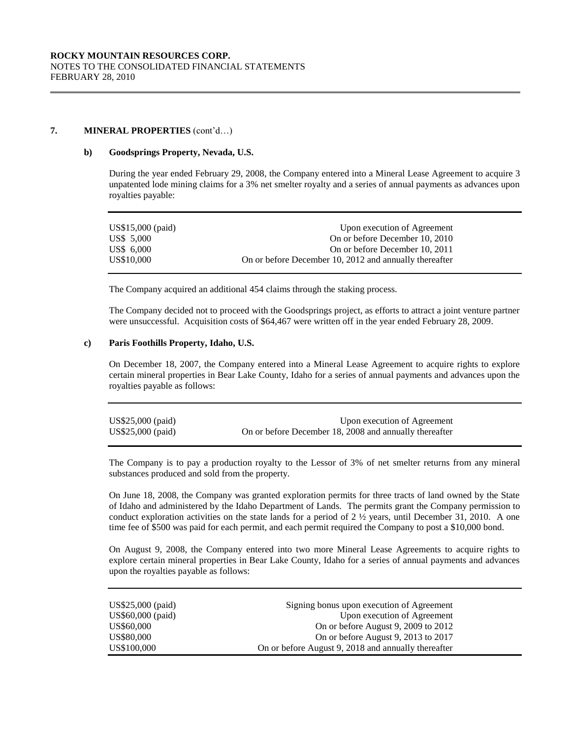#### **b) Goodsprings Property, Nevada, U.S.**

During the year ended February 29, 2008, the Company entered into a Mineral Lease Agreement to acquire 3 unpatented lode mining claims for a 3% net smelter royalty and a series of annual payments as advances upon royalties payable:

| US\$15,000 (paid) | Upon execution of Agreement                            |
|-------------------|--------------------------------------------------------|
| US\$ 5,000        | On or before December 10, 2010                         |
| US\$ 6,000        | On or before December 10, 2011                         |
| US\$10,000        | On or before December 10, 2012 and annually thereafter |

The Company acquired an additional 454 claims through the staking process.

The Company decided not to proceed with the Goodsprings project, as efforts to attract a joint venture partner were unsuccessful. Acquisition costs of \$64,467 were written off in the year ended February 28, 2009.

# **c) Paris Foothills Property, Idaho, U.S.**

On December 18, 2007, the Company entered into a Mineral Lease Agreement to acquire rights to explore certain mineral properties in Bear Lake County, Idaho for a series of annual payments and advances upon the royalties payable as follows:

| US\$25,000 (paid)  | Upon execution of Agreement                            |
|--------------------|--------------------------------------------------------|
| $US$25,000$ (paid) | On or before December 18, 2008 and annually thereafter |

The Company is to pay a production royalty to the Lessor of 3% of net smelter returns from any mineral substances produced and sold from the property.

On June 18, 2008, the Company was granted exploration permits for three tracts of land owned by the State of Idaho and administered by the Idaho Department of Lands. The permits grant the Company permission to conduct exploration activities on the state lands for a period of  $2 \frac{1}{2}$  years, until December 31, 2010. A one time fee of \$500 was paid for each permit, and each permit required the Company to post a \$10,000 bond.

On August 9, 2008, the Company entered into two more Mineral Lease Agreements to acquire rights to explore certain mineral properties in Bear Lake County, Idaho for a series of annual payments and advances upon the royalties payable as follows:

| US\$25,000 (paid) | Signing bonus upon execution of Agreement           |
|-------------------|-----------------------------------------------------|
| US\$60,000 (paid) | Upon execution of Agreement                         |
| US\$60,000        | On or before August 9, 2009 to 2012                 |
| US\$80,000        | On or before August 9, 2013 to 2017                 |
| US\$100,000       | On or before August 9, 2018 and annually thereafter |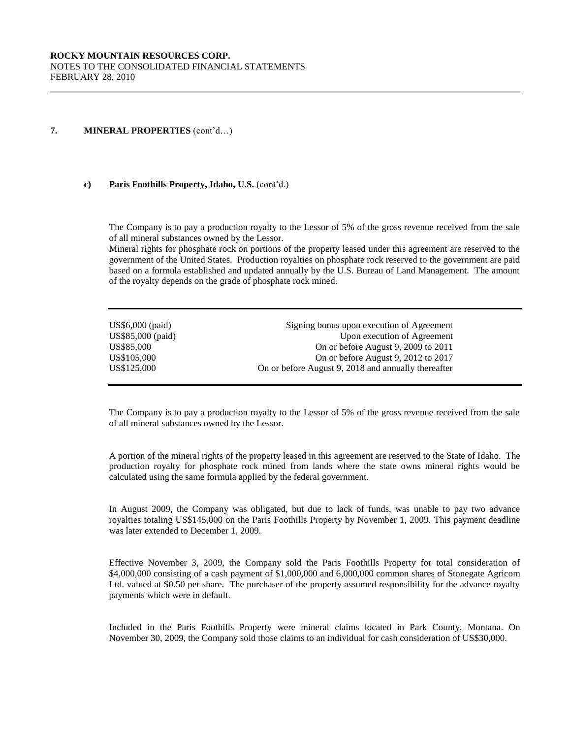#### **c) Paris Foothills Property, Idaho, U.S.** (cont'd.)

The Company is to pay a production royalty to the Lessor of 5% of the gross revenue received from the sale of all mineral substances owned by the Lessor.

Mineral rights for phosphate rock on portions of the property leased under this agreement are reserved to the government of the United States. Production royalties on phosphate rock reserved to the government are paid based on a formula established and updated annually by the U.S. Bureau of Land Management. The amount of the royalty depends on the grade of phosphate rock mined.

| US\$6,000 (paid)  | Signing bonus upon execution of Agreement           |
|-------------------|-----------------------------------------------------|
| US\$85,000 (paid) | Upon execution of Agreement                         |
| US\$85,000        | On or before August 9, 2009 to 2011                 |
| US\$105,000       | On or before August 9, 2012 to 2017                 |
| US\$125,000       | On or before August 9, 2018 and annually thereafter |

The Company is to pay a production royalty to the Lessor of 5% of the gross revenue received from the sale of all mineral substances owned by the Lessor.

A portion of the mineral rights of the property leased in this agreement are reserved to the State of Idaho. The production royalty for phosphate rock mined from lands where the state owns mineral rights would be calculated using the same formula applied by the federal government.

In August 2009, the Company was obligated, but due to lack of funds, was unable to pay two advance royalties totaling US\$145,000 on the Paris Foothills Property by November 1, 2009. This payment deadline was later extended to December 1, 2009.

Effective November 3, 2009, the Company sold the Paris Foothills Property for total consideration of \$4,000,000 consisting of a cash payment of \$1,000,000 and 6,000,000 common shares of Stonegate Agricom Ltd. valued at \$0.50 per share. The purchaser of the property assumed responsibility for the advance royalty payments which were in default.

Included in the Paris Foothills Property were mineral claims located in Park County, Montana. On November 30, 2009, the Company sold those claims to an individual for cash consideration of US\$30,000.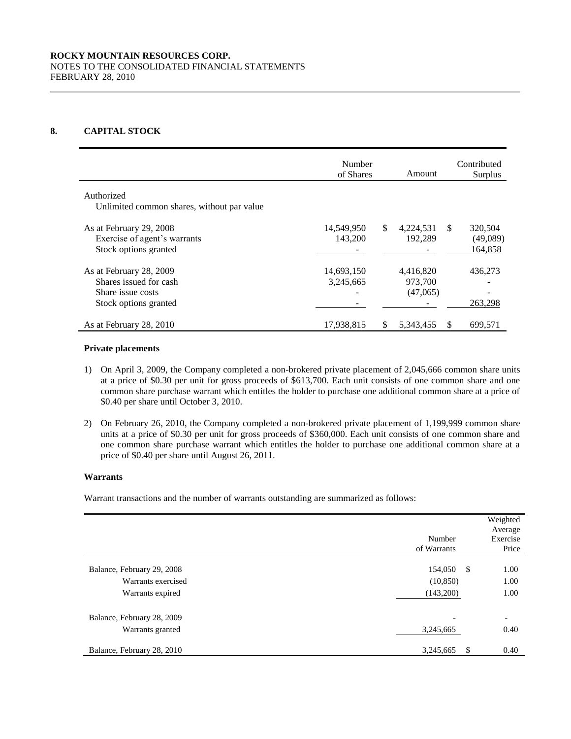# **8. CAPITAL STOCK**

|                                                                                                 | Number<br>of Shares     |     | Amount                           |               | Contributed<br>Surplus         |
|-------------------------------------------------------------------------------------------------|-------------------------|-----|----------------------------------|---------------|--------------------------------|
| Authorized<br>Unlimited common shares, without par value                                        |                         |     |                                  |               |                                |
| As at February 29, 2008<br>Exercise of agent's warrants<br>Stock options granted                | 14,549,950<br>143,200   | \$. | 4,224,531<br>192.289             | <sup>\$</sup> | 320,504<br>(49,089)<br>164,858 |
| As at February 28, 2009<br>Shares issued for cash<br>Share issue costs<br>Stock options granted | 14,693,150<br>3,245,665 |     | 4,416,820<br>973,700<br>(47,065) |               | 436,273<br>263,298             |
| As at February 28, 2010                                                                         | 17,938,815              | \$. | 5,343,455                        | -S            | 699,571                        |

#### **Private placements**

- 1) On April 3, 2009, the Company completed a non-brokered private placement of 2,045,666 common share units at a price of \$0.30 per unit for gross proceeds of \$613,700. Each unit consists of one common share and one common share purchase warrant which entitles the holder to purchase one additional common share at a price of \$0.40 per share until October 3, 2010.
- 2) On February 26, 2010, the Company completed a non-brokered private placement of 1,199,999 common share units at a price of \$0.30 per unit for gross proceeds of \$360,000. Each unit consists of one common share and one common share purchase warrant which entitles the holder to purchase one additional common share at a price of \$0.40 per share until August 26, 2011.

# **Warrants**

Warrant transactions and the number of warrants outstanding are summarized as follows:

|                                                  | Number<br>of Warrants                 | Weighted<br>Average<br>Exercise<br>Price |
|--------------------------------------------------|---------------------------------------|------------------------------------------|
| Balance, February 29, 2008<br>Warrants exercised | 154,050 \$<br>(10, 850)               | 1.00<br>1.00                             |
| Warrants expired                                 | (143,200)                             | 1.00                                     |
| Balance, February 28, 2009<br>Warrants granted   | $\overline{\phantom{a}}$<br>3,245,665 | $\overline{\phantom{a}}$<br>0.40         |
| Balance, February 28, 2010                       | \$.<br>3,245,665                      | 0.40                                     |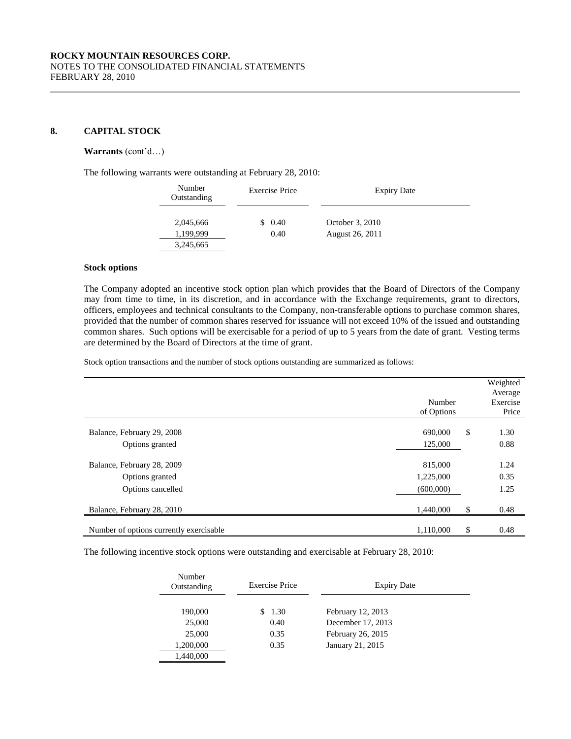## **8. CAPITAL STOCK**

#### **Warrants** (cont'd…)

The following warrants were outstanding at February 28, 2010:

| Number<br>Outstanding | Exercise Price | <b>Expiry Date</b> |
|-----------------------|----------------|--------------------|
| 2,045,666             | 0.40           | October 3, 2010    |
| 1.199.999             | 0.40           | August 26, 2011    |
| 3,245,665             |                |                    |

#### **Stock options**

The Company adopted an incentive stock option plan which provides that the Board of Directors of the Company may from time to time, in its discretion, and in accordance with the Exchange requirements, grant to directors, officers, employees and technical consultants to the Company, non-transferable options to purchase common shares, provided that the number of common shares reserved for issuance will not exceed 10% of the issued and outstanding common shares. Such options will be exercisable for a period of up to 5 years from the date of grant. Vesting terms are determined by the Board of Directors at the time of grant.

Stock option transactions and the number of stock options outstanding are summarized as follows:

|                                                                    | Number<br>of Options              | Weighted<br>Average<br>Exercise<br>Price |
|--------------------------------------------------------------------|-----------------------------------|------------------------------------------|
| Balance, February 29, 2008<br>Options granted                      | 690,000<br>125,000                | \$<br>1.30<br>0.88                       |
| Balance, February 28, 2009<br>Options granted<br>Options cancelled | 815,000<br>1,225,000<br>(600,000) | 1.24<br>0.35<br>1.25                     |
| Balance, February 28, 2010                                         | 1,440,000                         | \$<br>0.48                               |
| Number of options currently exercisable                            | 1.110.000                         | \$<br>0.48                               |

The following incentive stock options were outstanding and exercisable at February 28, 2010:

| Number<br>Outstanding | <b>Exercise Price</b> | <b>Expiry Date</b> |
|-----------------------|-----------------------|--------------------|
| 190,000               | \$1.30                | February 12, 2013  |
| 25,000                | 0.40                  | December 17, 2013  |
| 25,000                | 0.35                  | February 26, 2015  |
| 1,200,000             | 0.35                  | January 21, 2015   |
| 1,440,000             |                       |                    |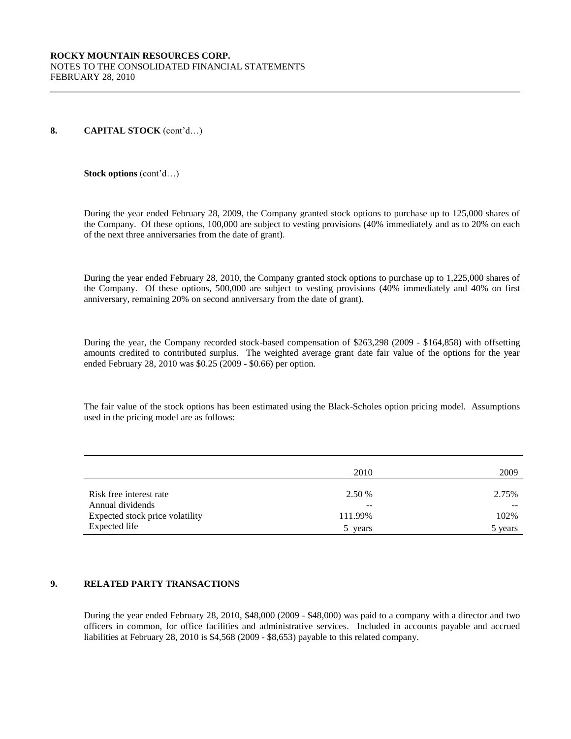#### **8. CAPITAL STOCK** (cont'd…)

#### **Stock options** (cont'd…)

During the year ended February 28, 2009, the Company granted stock options to purchase up to 125,000 shares of the Company. Of these options, 100,000 are subject to vesting provisions (40% immediately and as to 20% on each of the next three anniversaries from the date of grant).

During the year ended February 28, 2010, the Company granted stock options to purchase up to 1,225,000 shares of the Company. Of these options, 500,000 are subject to vesting provisions (40% immediately and 40% on first anniversary, remaining 20% on second anniversary from the date of grant).

During the year, the Company recorded stock-based compensation of \$263,298 (2009 - \$164,858) with offsetting amounts credited to contributed surplus. The weighted average grant date fair value of the options for the year ended February 28, 2010 was \$0.25 (2009 - \$0.66) per option.

The fair value of the stock options has been estimated using the Black-Scholes option pricing model. Assumptions used in the pricing model are as follows:

|                                 | 2010    | 2009    |
|---------------------------------|---------|---------|
| Risk free interest rate         | 2.50 %  | 2.75%   |
| Annual dividends                | --      | --      |
| Expected stock price volatility | 111.99% | 102%    |
| Expected life                   | years   | 5 years |

# **9. RELATED PARTY TRANSACTIONS**

During the year ended February 28, 2010, \$48,000 (2009 - \$48,000) was paid to a company with a director and two officers in common, for office facilities and administrative services. Included in accounts payable and accrued liabilities at February 28, 2010 is \$4,568 (2009 - \$8,653) payable to this related company.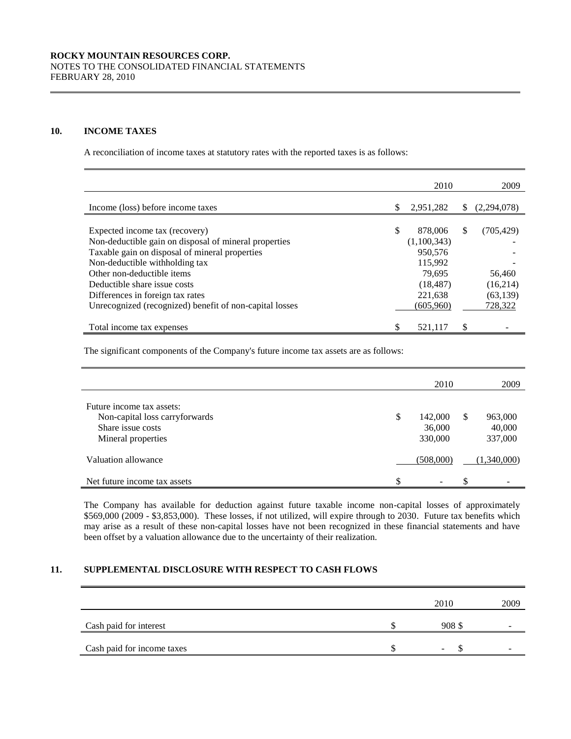#### **10. INCOME TAXES**

A reconciliation of income taxes at statutory rates with the reported taxes is as follows:

|                                                         |   | 2010        |    | 2009        |
|---------------------------------------------------------|---|-------------|----|-------------|
|                                                         |   |             |    |             |
| Income (loss) before income taxes                       | S | 2,951,282   | S  | (2,294,078) |
|                                                         |   |             |    |             |
| Expected income tax (recovery)                          |   | 878,006     | S  | (705, 429)  |
| Non-deductible gain on disposal of mineral properties   |   | (1,100,343) |    |             |
| Taxable gain on disposal of mineral properties          |   | 950,576     |    |             |
| Non-deductible withholding tax                          |   | 115,992     |    |             |
| Other non-deductible items                              |   | 79.695      |    | 56,460      |
| Deductible share issue costs                            |   | (18, 487)   |    | (16,214)    |
| Differences in foreign tax rates                        |   | 221,638     |    | (63, 139)   |
| Unrecognized (recognized) benefit of non-capital losses |   | (605,960)   |    | 728,322     |
| Total income tax expenses                               |   | 521.117     | \$ |             |

The significant components of the Company's future income tax assets are as follows:

|                                                                           |    | 2010                         |    | 2009                         |
|---------------------------------------------------------------------------|----|------------------------------|----|------------------------------|
| Future income tax assets:                                                 |    |                              |    |                              |
| Non-capital loss carryforwards<br>Share issue costs<br>Mineral properties | S  | 142,000<br>36,000<br>330,000 | -S | 963,000<br>40,000<br>337,000 |
| Valuation allowance                                                       |    | (508,000)                    |    | (1,340,000)                  |
| Net future income tax assets                                              | \$ | $\overline{\phantom{a}}$     | \$ |                              |

The Company has available for deduction against future taxable income non-capital losses of approximately \$569,000 (2009 - \$3,853,000). These losses, if not utilized, will expire through to 2030. Future tax benefits which may arise as a result of these non-capital losses have not been recognized in these financial statements and have been offset by a valuation allowance due to the uncertainty of their realization.

# **11. SUPPLEMENTAL DISCLOSURE WITH RESPECT TO CASH FLOWS**

|                            | 2010   | 2009 |
|----------------------------|--------|------|
| Cash paid for interest     | 908 \$ |      |
| Cash paid for income taxes | -      |      |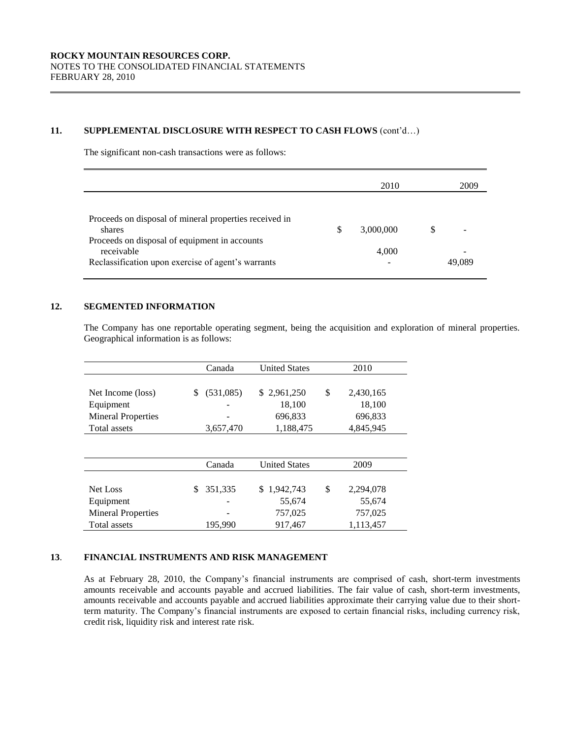## **11. SUPPLEMENTAL DISCLOSURE WITH RESPECT TO CASH FLOWS** (cont'd…)

The significant non-cash transactions were as follows:

|                                                                                                                                                                                       |     | 2010               |   | 2009   |
|---------------------------------------------------------------------------------------------------------------------------------------------------------------------------------------|-----|--------------------|---|--------|
| Proceeds on disposal of mineral properties received in<br>shares<br>Proceeds on disposal of equipment in accounts<br>receivable<br>Reclassification upon exercise of agent's warrants | \$. | 3,000,000<br>4,000 | S | 49.089 |

## **12. SEGMENTED INFORMATION**

The Company has one reportable operating segment, being the acquisition and exploration of mineral properties. Geographical information is as follows:

|                           |    | Canada    | <b>United States</b> | 2010            |
|---------------------------|----|-----------|----------------------|-----------------|
| Net Income (loss)         | S  | (531,085) | \$2,961,250          | \$<br>2,430,165 |
| Equipment                 |    |           | 18,100               | 18,100          |
| <b>Mineral Properties</b> |    |           | 696,833              | 696,833         |
| Total assets              |    | 3,657,470 | 1,188,475            | 4,845,945       |
|                           |    |           |                      |                 |
|                           |    | Canada    | <b>United States</b> | 2009            |
| Net Loss                  | \$ | 351.335   | \$1.942.743          | \$<br>2,294,078 |
| Equipment                 |    |           | 55,674               | 55,674          |
| <b>Mineral Properties</b> |    |           | 757,025              | 757,025         |
| Total assets              |    | 195,990   | 917,467              | 1,113,457       |

# **13**. **FINANCIAL INSTRUMENTS AND RISK MANAGEMENT**

As at February 28, 2010, the Company's financial instruments are comprised of cash, short-term investments amounts receivable and accounts payable and accrued liabilities. The fair value of cash, short-term investments, amounts receivable and accounts payable and accrued liabilities approximate their carrying value due to their shortterm maturity. The Company's financial instruments are exposed to certain financial risks, including currency risk, credit risk, liquidity risk and interest rate risk.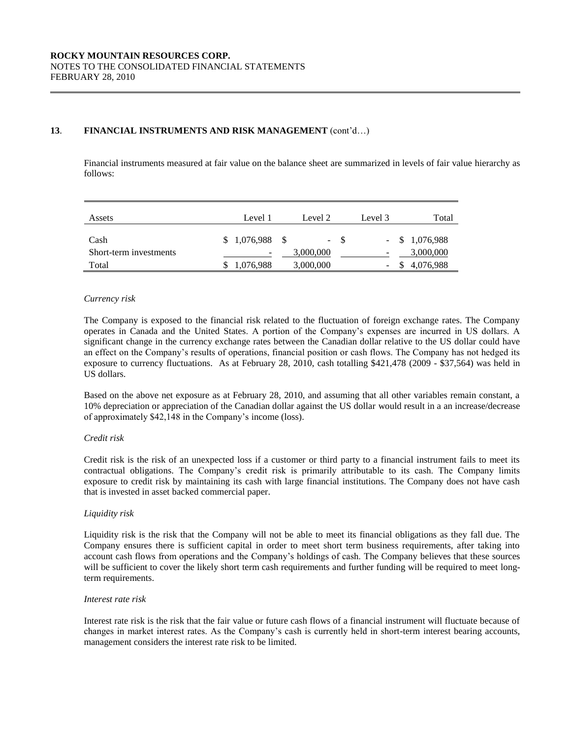# **13**. **FINANCIAL INSTRUMENTS AND RISK MANAGEMENT** (cont'd…)

Financial instruments measured at fair value on the balance sheet are summarized in levels of fair value hierarchy as follows:

| Assets                 | Level 1           | Level 2   | Level 3 | Total            |
|------------------------|-------------------|-----------|---------|------------------|
| Cash                   | $$1,076,988$ \ \$ |           | $- S$   | $-$ \$ 1,076,988 |
| Short-term investments |                   | 3,000,000 |         | 3,000,000        |
| Total                  | 1,076,988         | 3,000,000 | -       | \$4,076,988      |

#### *Currency risk*

The Company is exposed to the financial risk related to the fluctuation of foreign exchange rates. The Company operates in Canada and the United States. A portion of the Company's expenses are incurred in US dollars. A significant change in the currency exchange rates between the Canadian dollar relative to the US dollar could have an effect on the Company's results of operations, financial position or cash flows. The Company has not hedged its exposure to currency fluctuations. As at February 28, 2010, cash totalling \$421,478 (2009 - \$37,564) was held in US dollars.

Based on the above net exposure as at February 28, 2010, and assuming that all other variables remain constant, a 10% depreciation or appreciation of the Canadian dollar against the US dollar would result in a an increase/decrease of approximately \$42,148 in the Company's income (loss).

# *Credit risk*

Credit risk is the risk of an unexpected loss if a customer or third party to a financial instrument fails to meet its contractual obligations. The Company's credit risk is primarily attributable to its cash. The Company limits exposure to credit risk by maintaining its cash with large financial institutions. The Company does not have cash that is invested in asset backed commercial paper.

# *Liquidity risk*

Liquidity risk is the risk that the Company will not be able to meet its financial obligations as they fall due. The Company ensures there is sufficient capital in order to meet short term business requirements, after taking into account cash flows from operations and the Company's holdings of cash. The Company believes that these sources will be sufficient to cover the likely short term cash requirements and further funding will be required to meet longterm requirements.

#### *Interest rate risk*

Interest rate risk is the risk that the fair value or future cash flows of a financial instrument will fluctuate because of changes in market interest rates. As the Company's cash is currently held in short-term interest bearing accounts, management considers the interest rate risk to be limited.